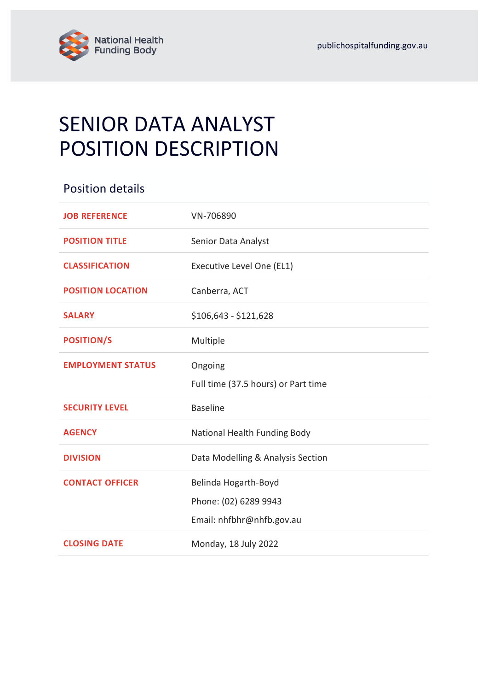

# SENIOR DATA ANALYST POSITION DESCRIPTION

| <b>Position details</b>  |                                     |
|--------------------------|-------------------------------------|
| <b>JOB REFERENCE</b>     | VN-706890                           |
| <b>POSITION TITLE</b>    | Senior Data Analyst                 |
| <b>CLASSIFICATION</b>    | Executive Level One (EL1)           |
| <b>POSITION LOCATION</b> | Canberra, ACT                       |
| <b>SALARY</b>            | $$106,643 - $121,628$               |
| <b>POSITION/S</b>        | Multiple                            |
| <b>EMPLOYMENT STATUS</b> | Ongoing                             |
|                          | Full time (37.5 hours) or Part time |
| <b>SECURITY LEVEL</b>    | <b>Baseline</b>                     |
| <b>AGENCY</b>            | National Health Funding Body        |
| <b>DIVISION</b>          | Data Modelling & Analysis Section   |
| <b>CONTACT OFFICER</b>   | Belinda Hogarth-Boyd                |
|                          | Phone: (02) 6289 9943               |
|                          | Email: nhfbhr@nhfb.gov.au           |
| <b>CLOSING DATE</b>      | Monday, 18 July 2022                |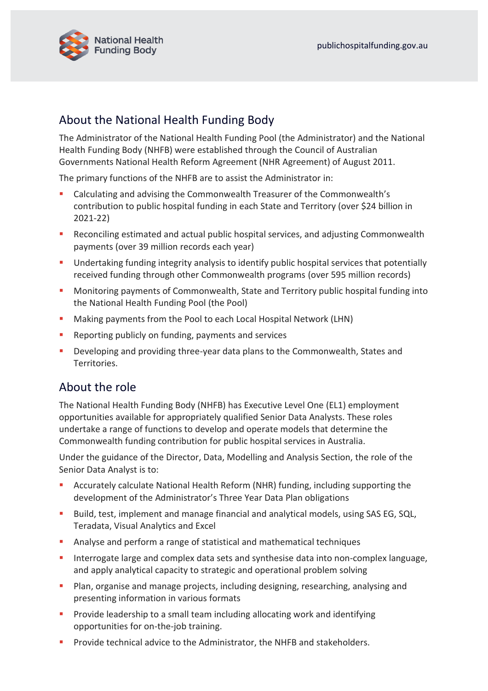

# About the National Health Funding Body

The Administrator of the National Health Funding Pool (the Administrator) and the National Health Funding Body (NHFB) were established through the Council of Australian Governments National Health Reform Agreement (NHR Agreement) of August 2011.

The primary functions of the NHFB are to assist the Administrator in:

- Calculating and advising the Commonwealth Treasurer of the Commonwealth's contribution to public hospital funding in each State and Territory (over \$24 billion in 2021-22)
- Reconciling estimated and actual public hospital services, and adjusting Commonwealth payments (over 39 million records each year)
- **■** Undertaking funding integrity analysis to identify public hospital services that potentially received funding through other Commonwealth programs (over 595 million records)
- Monitoring payments of Commonwealth, State and Territory public hospital funding into the National Health Funding Pool (the Pool)
- Making payments from the Pool to each Local Hospital Network (LHN)
- Reporting publicly on funding, payments and services
- Developing and providing three-year data plans to the Commonwealth, States and Territories.

## About the role

The National Health Funding Body (NHFB) has Executive Level One (EL1) employment opportunities available for appropriately qualified Senior Data Analysts. These roles undertake a range of functions to develop and operate models that determine the Commonwealth funding contribution for public hospital services in Australia.

Under the guidance of the Director, Data, Modelling and Analysis Section, the role of the Senior Data Analyst is to:

- Accurately calculate National Health Reform (NHR) funding, including supporting the development of the Administrator's Three Year Data Plan obligations
- Build, test, implement and manage financial and analytical models, using SAS EG, SQL, Teradata, Visual Analytics and Excel
- Analyse and perform a range of statistical and mathematical techniques
- **EXTERGHTM** Interrogate large and complex data sets and synthesise data into non-complex language, and apply analytical capacity to strategic and operational problem solving
- **•** Plan, organise and manage projects, including designing, researching, analysing and presenting information in various formats
- **•** Provide leadership to a small team including allocating work and identifying opportunities for on-the-job training.
- **•** Provide technical advice to the Administrator, the NHFB and stakeholders.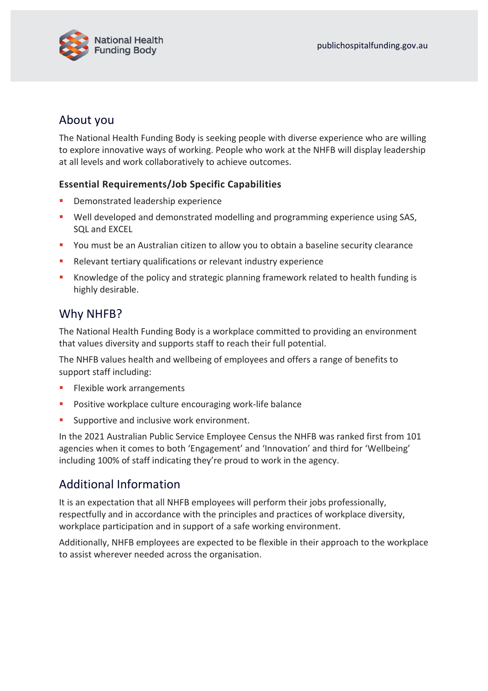

## About you

The National Health Funding Body is seeking people with diverse experience who are willing to explore innovative ways of working. People who work at the NHFB will display leadership at all levels and work collaboratively to achieve outcomes.

#### **Essential Requirements/Job Specific Capabilities**

- Demonstrated leadership experience
- Well developed and demonstrated modelling and programming experience using SAS, SQL and EXCEL
- You must be an Australian citizen to allow you to obtain a baseline security clearance
- Relevant tertiary qualifications or relevant industry experience
- Knowledge of the policy and strategic planning framework related to health funding is highly desirable.

## Why NHFB?

The National Health Funding Body is a workplace committed to providing an environment that values diversity and supports staff to reach their full potential.

The NHFB values health and wellbeing of employees and offers a range of benefits to support staff including:

- Flexible work arrangements
- Positive workplace culture encouraging work-life balance
- **EXECUTE:** Supportive and inclusive work environment.

In the 2021 Australian Public Service Employee Census the NHFB was ranked first from 101 agencies when it comes to both 'Engagement' and 'Innovation' and third for 'Wellbeing' including 100% of staff indicating they're proud to work in the agency.

## Additional Information

It is an expectation that all NHFB employees will perform their jobs professionally, respectfully and in accordance with the principles and practices of workplace diversity, workplace participation and in support of a safe working environment.

Additionally, NHFB employees are expected to be flexible in their approach to the workplace to assist wherever needed across the organisation.